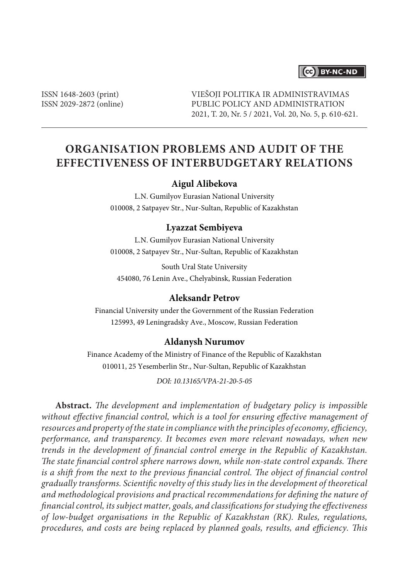# CC BY-NC-ND

ISSN 1648-2603 (print) ISSN 2029-2872 (online) VIEŠOJI POLITIKA IR ADMINISTRAVIMAS PUBLIC POLICY AND ADMINISTRATION 2021, T. 20, Nr. 5 / 2021, Vol. 20, No. 5, p. 610-621.

# **ORGANISATION PROBLEMS AND AUDIT OF THE EFFECTIVENESS OF INTERBUDGETARY RELATIONS**

#### **Aigul Alibekova**

L.N. Gumilyov Eurasian National University 010008, 2 Satpayev Str., Nur-Sultan, Republic of Kazakhstan

#### **Lyazzat Sembiyeva**

L.N. Gumilyov Eurasian National University 010008, 2 Satpayev Str., Nur-Sultan, Republic of Kazakhstan

South Ural State University 454080, 76 Lenin Ave., Chelyabinsk, Russian Federation

# **Aleksandr Petrov**

Financial University under the Government of the Russian Federation 125993, 49 Leningradsky Ave., Moscow, Russian Federation

#### **Aldanysh Nurumov**

Finance Academy of the Ministry of Finance of the Republic of Kazakhstan 010011, 25 Yesemberlin Str., Nur-Sultan, Republic of Kazakhstan

*DOI: 10.13165/VPA-21-20-5-05*

**Abstract.** *The development and implementation of budgetary policy is impossible without effective financial control, which is a tool for ensuring effective management of resources and property of the state in compliance with the principles of economy, efficiency, performance, and transparency. It becomes even more relevant nowadays, when new trends in the development of financial control emerge in the Republic of Kazakhstan. The state financial control sphere narrows down, while non-state control expands. There is a shift from the next to the previous financial control. The object of financial control gradually transforms. Scientific novelty of this study lies in the development of theoretical and methodological provisions and practical recommendations for defining the nature of financial control, its subject matter, goals, and classifications for studying the effectiveness of low-budget organisations in the Republic of Kazakhstan (RK). Rules, regulations, procedures, and costs are being replaced by planned goals, results, and efficiency. This*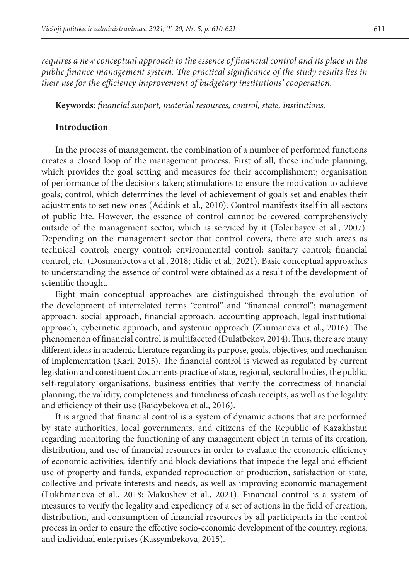*requires a new conceptual approach to the essence of financial control and its place in the public finance management system. The practical significance of the study results lies in their use for the efficiency improvement of budgetary institutions' cooperation.*

**Keywords**: *financial support, material resources, control, state, institutions.*

### **Introduction**

In the process of management, the combination of a number of performed functions creates a closed loop of the management process. First of all, these include planning, which provides the goal setting and measures for their accomplishment; organisation of performance of the decisions taken; stimulations to ensure the motivation to achieve goals; control, which determines the level of achievement of goals set and enables their adjustments to set new ones (Addink et al., 2010). Control manifests itself in all sectors of public life. However, the essence of control cannot be covered comprehensively outside of the management sector, which is serviced by it (Toleubayev et al., 2007). Depending on the management sector that control covers, there are such areas as technical control; energy control; environmental control; sanitary control; financial control, etc. (Dosmanbetova et al., 2018; Ridic et al., 2021). Basic conceptual approaches to understanding the essence of control were obtained as a result of the development of scientific thought.

Eight main conceptual approaches are distinguished through the evolution of the development of interrelated terms "control" and "financial control": management approach, social approach, financial approach, accounting approach, legal institutional approach, cybernetic approach, and systemic approach (Zhumanova et al., 2016). The phenomenon of financial control is multifaceted (Dulatbekov, 2014). Thus, there are many different ideas in academic literature regarding its purpose, goals, objectives, and mechanism of implementation (Kari, 2015). The financial control is viewed as regulated by current legislation and constituent documents practice of state, regional, sectoral bodies, the public, self-regulatory organisations, business entities that verify the correctness of financial planning, the validity, completeness and timeliness of cash receipts, as well as the legality and efficiency of their use (Baidybekova et al., 2016).

It is argued that financial control is a system of dynamic actions that are performed by state authorities, local governments, and citizens of the Republic of Kazakhstan regarding monitoring the functioning of any management object in terms of its creation, distribution, and use of financial resources in order to evaluate the economic efficiency of economic activities, identify and block deviations that impede the legal and efficient use of property and funds, expanded reproduction of production, satisfaction of state, collective and private interests and needs, as well as improving economic management (Lukhmanova et al., 2018; Makushev et al., 2021). Financial control is a system of measures to verify the legality and expediency of a set of actions in the field of creation, distribution, and consumption of financial resources by all participants in the control process in order to ensure the effective socio-economic development of the country, regions, and individual enterprises (Kassymbekova, 2015).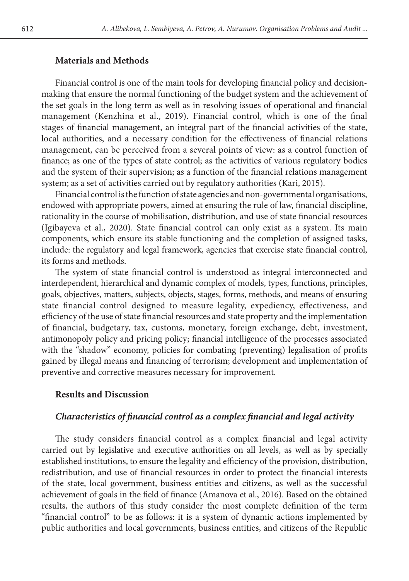### **Materials and Methods**

Financial control is one of the main tools for developing financial policy and decisionmaking that ensure the normal functioning of the budget system and the achievement of the set goals in the long term as well as in resolving issues of operational and financial management (Kenzhina et al., 2019). Financial control, which is one of the final stages of financial management, an integral part of the financial activities of the state, local authorities, and a necessary condition for the effectiveness of financial relations management, can be perceived from a several points of view: as a control function of finance; as one of the types of state control; as the activities of various regulatory bodies and the system of their supervision; as a function of the financial relations management system; as a set of activities carried out by regulatory authorities (Kari, 2015).

Financial control is the function of state agencies and non-governmental organisations, endowed with appropriate powers, aimed at ensuring the rule of law, financial discipline, rationality in the course of mobilisation, distribution, and use of state financial resources (Igibayeva et al., 2020). State financial control can only exist as a system. Its main components, which ensure its stable functioning and the completion of assigned tasks, include: the regulatory and legal framework, agencies that exercise state financial control, its forms and methods.

The system of state financial control is understood as integral interconnected and interdependent, hierarchical and dynamic complex of models, types, functions, principles, goals, objectives, matters, subjects, objects, stages, forms, methods, and means of ensuring state financial control designed to measure legality, expediency, effectiveness, and efficiency of the use of state financial resources and state property and the implementation of financial, budgetary, tax, customs, monetary, foreign exchange, debt, investment, antimonopoly policy and pricing policy; financial intelligence of the processes associated with the "shadow" economy, policies for combating (preventing) legalisation of profits gained by illegal means and financing of terrorism; development and implementation of preventive and corrective measures necessary for improvement.

# **Results and Discussion**

## *Characteristics of financial control as a complex financial and legal activity*

The study considers financial control as a complex financial and legal activity carried out by legislative and executive authorities on all levels, as well as by specially established institutions, to ensure the legality and efficiency of the provision, distribution, redistribution, and use of financial resources in order to protect the financial interests of the state, local government, business entities and citizens, as well as the successful achievement of goals in the field of finance (Amanova et al., 2016). Based on the obtained results, the authors of this study consider the most complete definition of the term "financial control" to be as follows: it is a system of dynamic actions implemented by public authorities and local governments, business entities, and citizens of the Republic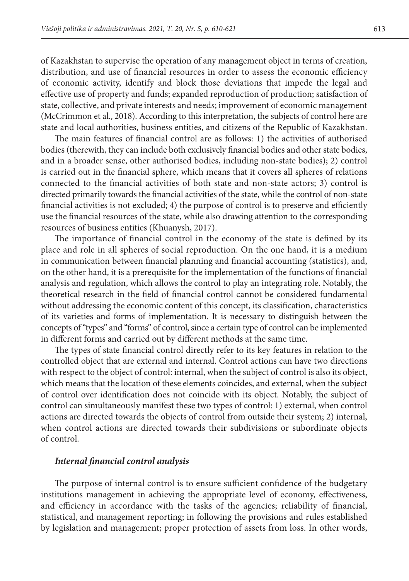of Kazakhstan to supervise the operation of any management object in terms of creation, distribution, and use of financial resources in order to assess the economic efficiency of economic activity, identify and block those deviations that impede the legal and effective use of property and funds; expanded reproduction of production; satisfaction of state, collective, and private interests and needs; improvement of economic management (McCrimmon et al., 2018). According to this interpretation, the subjects of control here are state and local authorities, business entities, and citizens of the Republic of Kazakhstan.

The main features of financial control are as follows: 1) the activities of authorised bodies (therewith, they can include both exclusively financial bodies and other state bodies, and in a broader sense, other authorised bodies, including non-state bodies); 2) control is carried out in the financial sphere, which means that it covers all spheres of relations connected to the financial activities of both state and non-state actors; 3) control is directed primarily towards the financial activities of the state, while the control of non-state financial activities is not excluded; 4) the purpose of control is to preserve and efficiently use the financial resources of the state, while also drawing attention to the corresponding resources of business entities (Khuanysh, 2017).

The importance of financial control in the economy of the state is defined by its place and role in all spheres of social reproduction. On the one hand, it is a medium in communication between financial planning and financial accounting (statistics), and, on the other hand, it is a prerequisite for the implementation of the functions of financial analysis and regulation, which allows the control to play an integrating role. Notably, the theoretical research in the field of financial control cannot be considered fundamental without addressing the economic content of this concept, its classification, characteristics of its varieties and forms of implementation. It is necessary to distinguish between the concepts of "types" and "forms" of control, since a certain type of control can be implemented in different forms and carried out by different methods at the same time.

The types of state financial control directly refer to its key features in relation to the controlled object that are external and internal. Control actions can have two directions with respect to the object of control: internal, when the subject of control is also its object, which means that the location of these elements coincides, and external, when the subject of control over identification does not coincide with its object. Notably, the subject of control can simultaneously manifest these two types of control: 1) external, when control actions are directed towards the objects of control from outside their system; 2) internal, when control actions are directed towards their subdivisions or subordinate objects of control.

#### *Internal financial control analysis*

The purpose of internal control is to ensure sufficient confidence of the budgetary institutions management in achieving the appropriate level of economy, effectiveness, and efficiency in accordance with the tasks of the agencies; reliability of financial, statistical, and management reporting; in following the provisions and rules established by legislation and management; proper protection of assets from loss. In other words,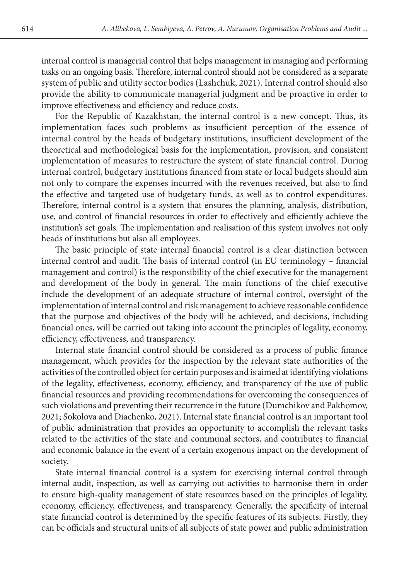internal control is managerial control that helps management in managing and performing tasks on an ongoing basis. Therefore, internal control should not be considered as a separate system of public and utility sector bodies (Lashchuk, 2021). Internal control should also provide the ability to communicate managerial judgment and be proactive in order to improve effectiveness and efficiency and reduce costs.

For the Republic of Kazakhstan, the internal control is a new concept. Thus, its implementation faces such problems as insufficient perception of the essence of internal control by the heads of budgetary institutions, insufficient development of the theoretical and methodological basis for the implementation, provision, and consistent implementation of measures to restructure the system of state financial control. During internal control, budgetary institutions financed from state or local budgets should aim not only to compare the expenses incurred with the revenues received, but also to find the effective and targeted use of budgetary funds, as well as to control expenditures. Therefore, internal control is a system that ensures the planning, analysis, distribution, use, and control of financial resources in order to effectively and efficiently achieve the institution's set goals. The implementation and realisation of this system involves not only heads of institutions but also all employees.

The basic principle of state internal financial control is a clear distinction between internal control and audit. The basis of internal control (in EU terminology – financial management and control) is the responsibility of the chief executive for the management and development of the body in general. The main functions of the chief executive include the development of an adequate structure of internal control, oversight of the implementation of internal control and risk management to achieve reasonable confidence that the purpose and objectives of the body will be achieved, and decisions, including financial ones, will be carried out taking into account the principles of legality, economy, efficiency, effectiveness, and transparency.

Internal state financial control should be considered as a process of public finance management, which provides for the inspection by the relevant state authorities of the activities of the controlled object for certain purposes and is aimed at identifying violations of the legality, effectiveness, economy, efficiency, and transparency of the use of public financial resources and providing recommendations for overcoming the consequences of such violations and preventing their recurrence in the future (Dumchikov and Pakhomov, 2021; Sokolova and Diachenko, 2021). Internal state financial control is an important tool of public administration that provides an opportunity to accomplish the relevant tasks related to the activities of the state and communal sectors, and contributes to financial and economic balance in the event of a certain exogenous impact on the development of society.

State internal financial control is a system for exercising internal control through internal audit, inspection, as well as carrying out activities to harmonise them in order to ensure high-quality management of state resources based on the principles of legality, economy, efficiency, effectiveness, and transparency. Generally, the specificity of internal state financial control is determined by the specific features of its subjects. Firstly, they can be officials and structural units of all subjects of state power and public administration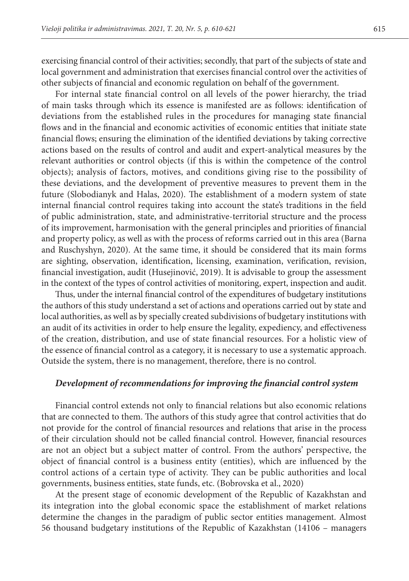exercising financial control of their activities; secondly, that part of the subjects of state and local government and administration that exercises financial control over the activities of other subjects of financial and economic regulation on behalf of the government.

For internal state financial control on all levels of the power hierarchy, the triad of main tasks through which its essence is manifested are as follows: identification of deviations from the established rules in the procedures for managing state financial flows and in the financial and economic activities of economic entities that initiate state financial flows; ensuring the elimination of the identified deviations by taking corrective actions based on the results of control and audit and expert-analytical measures by the relevant authorities or control objects (if this is within the competence of the control objects); analysis of factors, motives, and conditions giving rise to the possibility of these deviations, and the development of preventive measures to prevent them in the future (Slobodianyk and Halas, 2020). The establishment of a modern system of state internal financial control requires taking into account the state's traditions in the field of public administration, state, and administrative-territorial structure and the process of its improvement, harmonisation with the general principles and priorities of financial and property policy, as well as with the process of reforms carried out in this area (Barna and Ruschyshyn, 2020). At the same time, it should be considered that its main forms are sighting, observation, identification, licensing, examination, verification, revision, financial investigation, audit (Husejinović, 2019). It is advisable to group the assessment in the context of the types of control activities of monitoring, expert, inspection and audit.

Thus, under the internal financial control of the expenditures of budgetary institutions the authors of this study understand a set of actions and operations carried out by state and local authorities, as well as by specially created subdivisions of budgetary institutions with an audit of its activities in order to help ensure the legality, expediency, and effectiveness of the creation, distribution, and use of state financial resources. For a holistic view of the essence of financial control as a category, it is necessary to use a systematic approach. Outside the system, there is no management, therefore, there is no control.

# *Development of recommendations for improving the financial control system*

Financial control extends not only to financial relations but also economic relations that are connected to them. The authors of this study agree that control activities that do not provide for the control of financial resources and relations that arise in the process of their circulation should not be called financial control. However, financial resources are not an object but a subject matter of control. From the authors' perspective, the object of financial control is a business entity (entities), which are influenced by the control actions of a certain type of activity. They can be public authorities and local governments, business entities, state funds, etc. (Bobrovska et al., 2020)

At the present stage of economic development of the Republic of Kazakhstan and its integration into the global economic space the establishment of market relations determine the changes in the paradigm of public sector entities management. Almost 56 thousand budgetary institutions of the Republic of Kazakhstan (14106 – managers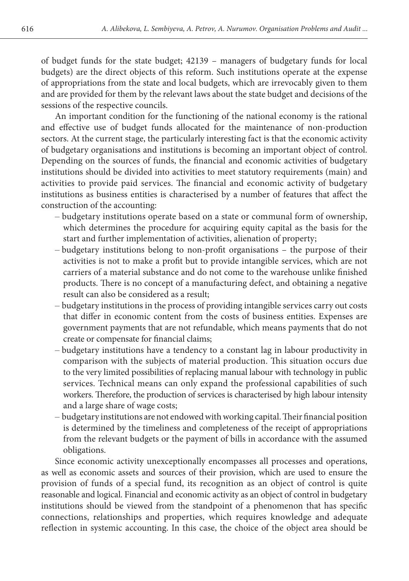of budget funds for the state budget; 42139 – managers of budgetary funds for local budgets) are the direct objects of this reform. Such institutions operate at the expense of appropriations from the state and local budgets, which are irrevocably given to them and are provided for them by the relevant laws about the state budget and decisions of the sessions of the respective councils.

An important condition for the functioning of the national economy is the rational and effective use of budget funds allocated for the maintenance of non-production sectors. At the current stage, the particularly interesting fact is that the economic activity of budgetary organisations and institutions is becoming an important object of control. Depending on the sources of funds, the financial and economic activities of budgetary institutions should be divided into activities to meet statutory requirements (main) and activities to provide paid services. The financial and economic activity of budgetary institutions as business entities is characterised by a number of features that affect the construction of the accounting:

- budgetary institutions operate based on a state or communal form of ownership, which determines the procedure for acquiring equity capital as the basis for the start and further implementation of activities, alienation of property;
- budgetary institutions belong to non-profit organisations the purpose of their activities is not to make a profit but to provide intangible services, which are not carriers of a material substance and do not come to the warehouse unlike finished products. There is no concept of a manufacturing defect, and obtaining a negative result can also be considered as a result;
- budgetary institutions in the process of providing intangible services carry out costs that differ in economic content from the costs of business entities. Expenses are government payments that are not refundable, which means payments that do not create or compensate for financial claims;
- budgetary institutions have a tendency to a constant lag in labour productivity in comparison with the subjects of material production. This situation occurs due to the very limited possibilities of replacing manual labour with technology in public services. Technical means can only expand the professional capabilities of such workers. Therefore, the production of services is characterised by high labour intensity and a large share of wage costs;
- budgetary institutions are not endowed with working capital. Their financial position is determined by the timeliness and completeness of the receipt of appropriations from the relevant budgets or the payment of bills in accordance with the assumed obligations.

Since economic activity unexceptionally encompasses all processes and operations, as well as economic assets and sources of their provision, which are used to ensure the provision of funds of a special fund, its recognition as an object of control is quite reasonable and logical. Financial and economic activity as an object of control in budgetary institutions should be viewed from the standpoint of a phenomenon that has specific connections, relationships and properties, which requires knowledge and adequate reflection in systemic accounting. In this case, the choice of the object area should be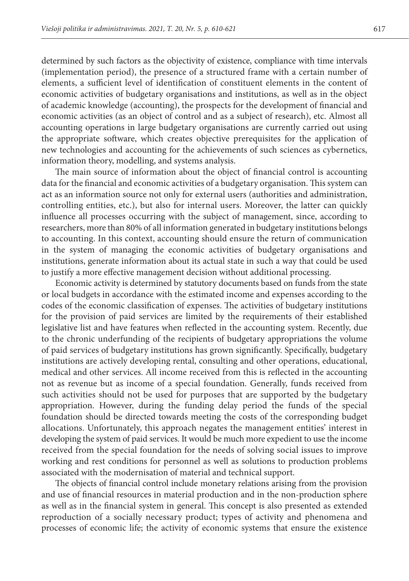determined by such factors as the objectivity of existence, compliance with time intervals (implementation period), the presence of a structured frame with a certain number of elements, a sufficient level of identification of constituent elements in the content of economic activities of budgetary organisations and institutions, as well as in the object of academic knowledge (accounting), the prospects for the development of financial and economic activities (as an object of control and as a subject of research), etc. Almost all accounting operations in large budgetary organisations are currently carried out using the appropriate software, which creates objective prerequisites for the application of new technologies and accounting for the achievements of such sciences as cybernetics, information theory, modelling, and systems analysis.

The main source of information about the object of financial control is accounting data for the financial and economic activities of a budgetary organisation. This system can act as an information source not only for external users (authorities and administration, controlling entities, etc.), but also for internal users. Moreover, the latter can quickly influence all processes occurring with the subject of management, since, according to researchers, more than 80% of all information generated in budgetary institutions belongs to accounting. In this context, accounting should ensure the return of communication in the system of managing the economic activities of budgetary organisations and institutions, generate information about its actual state in such a way that could be used to justify a more effective management decision without additional processing.

Economic activity is determined by statutory documents based on funds from the state or local budgets in accordance with the estimated income and expenses according to the codes of the economic classification of expenses. The activities of budgetary institutions for the provision of paid services are limited by the requirements of their established legislative list and have features when reflected in the accounting system. Recently, due to the chronic underfunding of the recipients of budgetary appropriations the volume of paid services of budgetary institutions has grown significantly. Specifically, budgetary institutions are actively developing rental, consulting and other operations, educational, medical and other services. All income received from this is reflected in the accounting not as revenue but as income of a special foundation. Generally, funds received from such activities should not be used for purposes that are supported by the budgetary appropriation. However, during the funding delay period the funds of the special foundation should be directed towards meeting the costs of the corresponding budget allocations. Unfortunately, this approach negates the management entities' interest in developing the system of paid services. It would be much more expedient to use the income received from the special foundation for the needs of solving social issues to improve working and rest conditions for personnel as well as solutions to production problems associated with the modernisation of material and technical support.

The objects of financial control include monetary relations arising from the provision and use of financial resources in material production and in the non-production sphere as well as in the financial system in general. This concept is also presented as extended reproduction of a socially necessary product; types of activity and phenomena and processes of economic life; the activity of economic systems that ensure the existence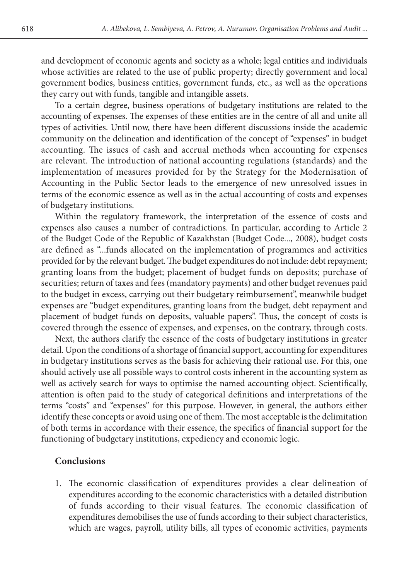and development of economic agents and society as a whole; legal entities and individuals whose activities are related to the use of public property; directly government and local government bodies, business entities, government funds, etc., as well as the operations they carry out with funds, tangible and intangible assets.

To a certain degree, business operations of budgetary institutions are related to the accounting of expenses. The expenses of these entities are in the centre of all and unite all types of activities. Until now, there have been different discussions inside the academic community on the delineation and identification of the concept of "expenses" in budget accounting. The issues of cash and accrual methods when accounting for expenses are relevant. The introduction of national accounting regulations (standards) and the implementation of measures provided for by the Strategy for the Modernisation of Accounting in the Public Sector leads to the emergence of new unresolved issues in terms of the economic essence as well as in the actual accounting of costs and expenses of budgetary institutions.

Within the regulatory framework, the interpretation of the essence of costs and expenses also causes a number of contradictions. In particular, according to Article 2 of the Budget Code of the Republic of Kazakhstan (Budget Code..., 2008), budget costs are defined as "...funds allocated on the implementation of programmes and activities provided for by the relevant budget. The budget expenditures do not include: debt repayment; granting loans from the budget; placement of budget funds on deposits; purchase of securities; return of taxes and fees (mandatory payments) and other budget revenues paid to the budget in excess, carrying out their budgetary reimbursement", meanwhile budget expenses are "budget expenditures, granting loans from the budget, debt repayment and placement of budget funds on deposits, valuable papers". Thus, the concept of costs is covered through the essence of expenses, and expenses, on the contrary, through costs.

Next, the authors clarify the essence of the costs of budgetary institutions in greater detail. Upon the conditions of a shortage of financial support, accounting for expenditures in budgetary institutions serves as the basis for achieving their rational use. For this, one should actively use all possible ways to control costs inherent in the accounting system as well as actively search for ways to optimise the named accounting object. Scientifically, attention is often paid to the study of categorical definitions and interpretations of the terms "costs" and "expenses" for this purpose. However, in general, the authors either identify these concepts or avoid using one of them. The most acceptable is the delimitation of both terms in accordance with their essence, the specifics of financial support for the functioning of budgetary institutions, expediency and economic logic.

## **Conclusions**

1. The economic classification of expenditures provides a clear delineation of expenditures according to the economic characteristics with a detailed distribution of funds according to their visual features. The economic classification of expenditures demobilises the use of funds according to their subject characteristics, which are wages, payroll, utility bills, all types of economic activities, payments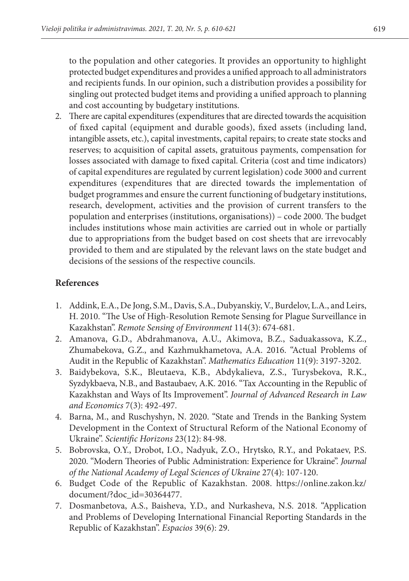to the population and other categories. It provides an opportunity to highlight protected budget expenditures and provides a unified approach to all administrators and recipients funds. In our opinion, such a distribution provides a possibility for singling out protected budget items and providing a unified approach to planning and cost accounting by budgetary institutions.

2. There are capital expenditures (expenditures that are directed towards the acquisition of fixed capital (equipment and durable goods), fixed assets (including land, intangible assets, etc.), capital investments, capital repairs; to create state stocks and reserves; to acquisition of capital assets, gratuitous payments, compensation for losses associated with damage to fixed capital. Criteria (cost and time indicators) of capital expenditures are regulated by current legislation) code 3000 and current expenditures (expenditures that are directed towards the implementation of budget programmes and ensure the current functioning of budgetary institutions, research, development, activities and the provision of current transfers to the population and enterprises (institutions, organisations)) – code 2000. The budget includes institutions whose main activities are carried out in whole or partially due to appropriations from the budget based on cost sheets that are irrevocably provided to them and are stipulated by the relevant laws on the state budget and decisions of the sessions of the respective councils.

# **References**

- 1. Addink, E.A., De Jong, S.M., Davis, S.A., Dubyanskiy, V., Burdelov, L.A., and Leirs, H. 2010. "The Use of High-Resolution Remote Sensing for Plague Surveillance in Kazakhstan". *Remote Sensing of Environment* 114(3): 674-681.
- 2. Amanova, G.D., Abdrahmanova, A.U., Akimova, B.Z., Saduakassova, K.Z., Zhumabekova, G.Z., and Kazhmukhametova, A.A. 2016. "Actual Problems of Audit in the Republic of Kazakhstan". *Mathematics Education* 11(9): 3197-3202.
- 3. Baidybekova, S.K., Bleutaeva, K.B., Abdykalieva, Z.S., Turysbekova, R.K., Syzdykbaeva, N.B., and Bastaubaev, A.K. 2016. "Tax Accounting in the Republic of Kazakhstan and Ways of Its Improvement". *Journal of Advanced Research in Law and Economics* 7(3): 492-497.
- 4. Barna, M., and Ruschyshyn, N. 2020. "State and Trends in the Banking System Development in the Context of Structural Reform of the National Economy of Ukraine". *Scientific Horizons* 23(12): 84-98.
- 5. Bobrovska, O.Y., Drobot, I.O., Nadyuk, Z.O., Hrytsko, R.Y., and Pokataev, P.S. 2020. "Modern Theories of Public Administration: Experience for Ukraine". *Journal of the National Academy of Legal Sciences of Ukraine* 27(4): 107-120.
- 6. Budget Code of the Republic of Kazakhstan. 2008. https://online.zakon.kz/ document/?doc\_id=30364477.
- 7. Dosmanbetova, A.S., Baisheva, Y.D., and Nurkasheva, N.S. 2018. "Application and Problems of Developing International Financial Reporting Standards in the Republic of Kazakhstan". *Espacios* 39(6): 29.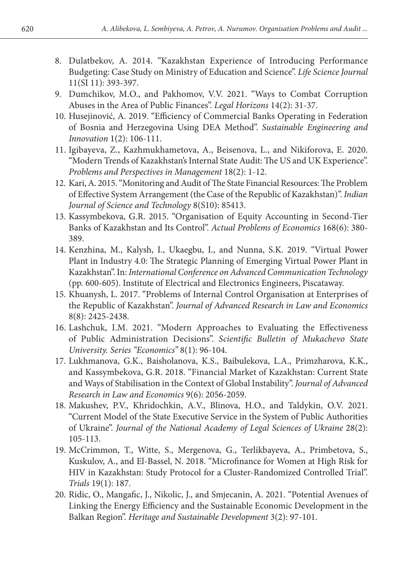- 8. Dulatbekov, A. 2014. "Kazakhstan Experience of Introducing Performance Budgeting: Case Study on Ministry of Education and Science". *Life Science Journal* 11(SI 11): 393-397.
- 9. Dumchikov, M.O., and Pakhomov, V.V. 2021. "Ways to Combat Corruption Abuses in the Area of Public Finances". *Legal Horizons* 14(2): 31-37.
- 10. Husejinović, A. 2019. "Efficiency of Commercial Banks Operating in Federation of Bosnia and Herzegovina Using DEA Method". *Sustainable Engineering and Innovation* 1(2): 106-111.
- 11. Igibayeva, Z., Kazhmukhametova, A., Beisenova, L., and Nikiforova, E. 2020. "Modern Trends of Kazakhstan's Internal State Audit: The US and UK Experience". *Problems and Perspectives in Management* 18(2): 1-12.
- 12. Kari, A. 2015. "Monitoring and Audit of The State Financial Resources: The Problem of Effective System Arrangement (the Case of the Republic of Kazakhstan)". *Indian Journal of Science and Technology* 8(S10): 85413.
- 13. Kassymbekova, G.R. 2015. "Organisation of Equity Accounting in Second-Tier Banks of Kazakhstan and Its Control". *Actual Problems of Economics* 168(6): 380- 389.
- 14. Kenzhina, M., Kalysh, I., Ukaegbu, I., and Nunna, S.K. 2019. "Virtual Power Plant in Industry 4.0: The Strategic Planning of Emerging Virtual Power Plant in Kazakhstan". In: *International Conference on Advanced Communication Technology* (pp. 600-605). Institute of Electrical and Electronics Engineers, Piscataway.
- 15. Khuanysh, L. 2017. "Problems of Internal Control Organisation at Enterprises of the Republic of Kazakhstan". *Journal of Advanced Research in Law and Economics* 8(8): 2425-2438.
- 16. Lashchuk, I.M. 2021. "Modern Approaches to Evaluating the Effectiveness of Public Administration Decisions". *Scientific Bulletin of Mukachevo State University. Series "Economics"* 8(1): 96-104.
- 17. Lukhmanova, G.K., Baisholanova, K.S., Baibulekova, L.A., Primzharova, K.K., and Kassymbekova, G.R. 2018. "Financial Market of Kazakhstan: Current State and Ways of Stabilisation in the Context of Global Instability". *Journal of Advanced Research in Law and Economics* 9(6): 2056-2059.
- 18. Makushev, P.V., Khridochkin, А.V., Blinova, H.O., and Taldykin, O.V. 2021. "Current Model of the State Executive Service in the System of Public Authorities of Ukraine". *Journal of the National Academy of Legal Sciences of Ukraine* 28(2): 105-113.
- 19. McCrimmon, T., Witte, S., Mergenova, G., Terlikbayeva, A., Primbetova, S., Kuskulov, A., and El-Bassel, N. 2018. "Microfinance for Women at High Risk for HIV in Kazakhstan: Study Protocol for a Cluster-Randomized Controlled Trial". *Trials* 19(1): 187.
- 20. Ridic, O., Mangafic, J., Nikolic, J., and Smjecanin, A. 2021. "Potential Avenues of Linking the Energy Efficiency and the Sustainable Economic Development in the Balkan Region". *Heritage and Sustainable Development* 3(2): 97-101.